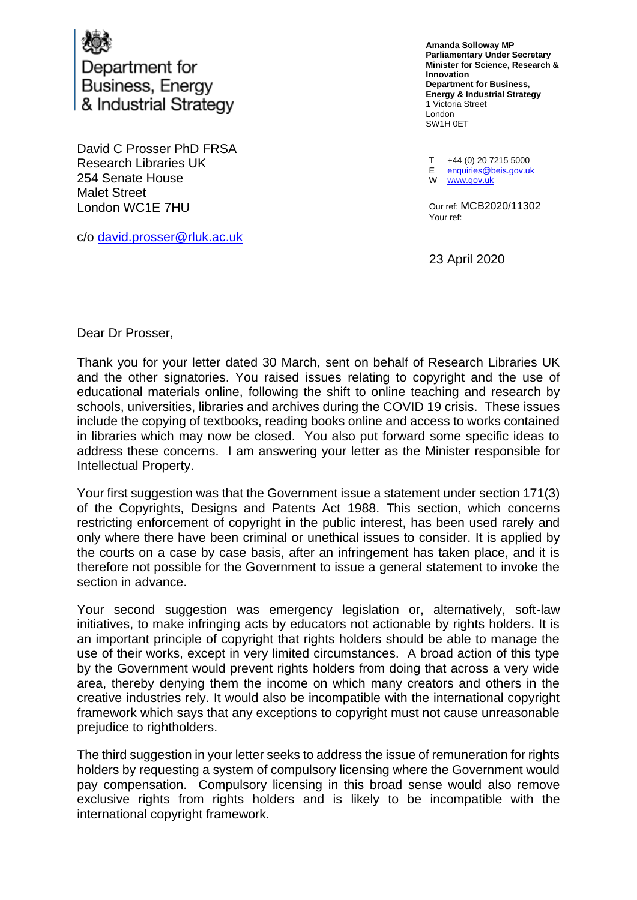

Department for Business, Energy & Industrial Strategy

David C Prosser PhD FRSA Research Libraries UK 254 Senate House Malet Street London WC1E 7HU

c/o [david.prosser@rluk.ac.uk](mailto:david.prosser@rluk.ac.uk)

**Amanda Solloway MP Parliamentary Under Secretary Minister for Science, Research & Innovation Department for Business, Energy & Industrial Strategy** 1 Victoria Street London SW1H 0ET

T +44 (0) 20 7215 5000 E enquiries@beis.gov.uk W [www.gov.uk](http://www.gov.uk/)

Our ref: MCB2020/11302 Your ref:

23 April 2020

Dear Dr Prosser,

Thank you for your letter dated 30 March, sent on behalf of Research Libraries UK and the other signatories. You raised issues relating to copyright and the use of educational materials online, following the shift to online teaching and research by schools, universities, libraries and archives during the COVID 19 crisis. These issues include the copying of textbooks, reading books online and access to works contained in libraries which may now be closed. You also put forward some specific ideas to address these concerns. I am answering your letter as the Minister responsible for Intellectual Property.

Your first suggestion was that the Government issue a statement under section 171(3) of the Copyrights, Designs and Patents Act 1988. This section, which concerns restricting enforcement of copyright in the public interest, has been used rarely and only where there have been criminal or unethical issues to consider. It is applied by the courts on a case by case basis, after an infringement has taken place, and it is therefore not possible for the Government to issue a general statement to invoke the section in advance.

Your second suggestion was emergency legislation or, alternatively, soft-law initiatives, to make infringing acts by educators not actionable by rights holders. It is an important principle of copyright that rights holders should be able to manage the use of their works, except in very limited circumstances. A broad action of this type by the Government would prevent rights holders from doing that across a very wide area, thereby denying them the income on which many creators and others in the creative industries rely. It would also be incompatible with the international copyright framework which says that any exceptions to copyright must not cause unreasonable prejudice to rightholders.

The third suggestion in your letter seeks to address the issue of remuneration for rights holders by requesting a system of compulsory licensing where the Government would pay compensation. Compulsory licensing in this broad sense would also remove exclusive rights from rights holders and is likely to be incompatible with the international copyright framework.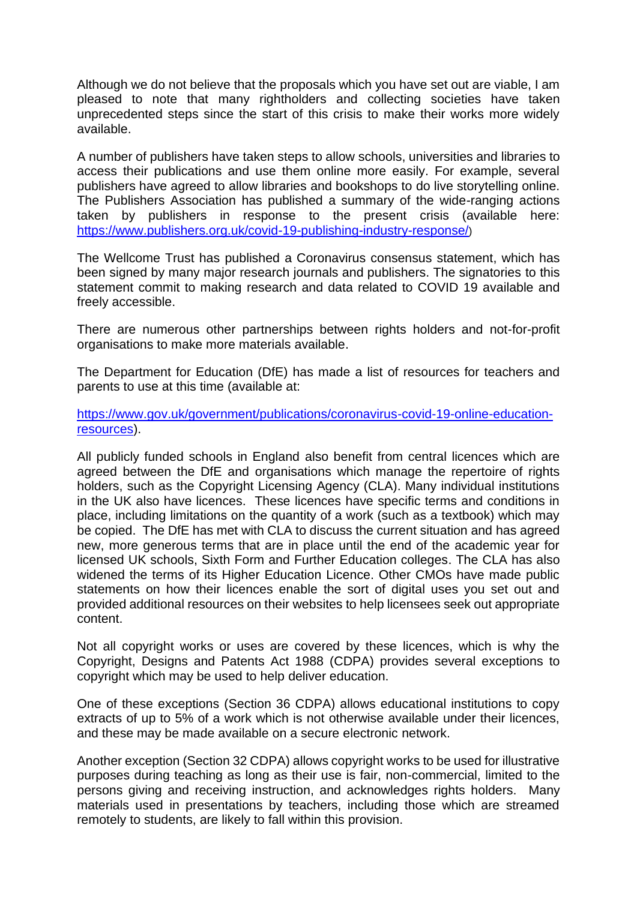Although we do not believe that the proposals which you have set out are viable, I am pleased to note that many rightholders and collecting societies have taken unprecedented steps since the start of this crisis to make their works more widely available.

A number of publishers have taken steps to allow schools, universities and libraries to access their publications and use them online more easily. For example, several publishers have agreed to allow libraries and bookshops to do live storytelling online. The Publishers Association has published a summary of the wide-ranging actions taken by publishers in response to the present crisis (available here: <https://www.publishers.org.uk/covid-19-publishing-industry-response/>)

The Wellcome Trust has published a Coronavirus consensus statement, which has been signed by many major research journals and publishers. The signatories to this statement commit to making research and data related to COVID 19 available and freely accessible.

There are numerous other partnerships between rights holders and not-for-profit organisations to make more materials available.

The Department for Education (DfE) has made a list of resources for teachers and parents to use at this time (available at:

[https://www.gov.uk/government/publications/coronavirus-covid-19-online-education](https://www.gov.uk/government/publications/coronavirus-covid-19-online-education-resources)[resources\)](https://www.gov.uk/government/publications/coronavirus-covid-19-online-education-resources).

All publicly funded schools in England also benefit from central licences which are agreed between the DfE and organisations which manage the repertoire of rights holders, such as the Copyright Licensing Agency (CLA). Many individual institutions in the UK also have licences. These licences have specific terms and conditions in place, including limitations on the quantity of a work (such as a textbook) which may be copied. The DfE has met with CLA to discuss the current situation and has agreed new, more generous terms that are in place until the end of the academic year for licensed UK schools, Sixth Form and Further Education colleges. The CLA has also widened the terms of its Higher Education Licence. Other CMOs have made public statements on how their licences enable the sort of digital uses you set out and provided additional resources on their websites to help licensees seek out appropriate content.

Not all copyright works or uses are covered by these licences, which is why the Copyright, Designs and Patents Act 1988 (CDPA) provides several exceptions to copyright which may be used to help deliver education.

One of these exceptions (Section 36 CDPA) allows educational institutions to copy extracts of up to 5% of a work which is not otherwise available under their licences, and these may be made available on a secure electronic network.

Another exception (Section 32 CDPA) allows copyright works to be used for illustrative purposes during teaching as long as their use is fair, non-commercial, limited to the persons giving and receiving instruction, and acknowledges rights holders. Many materials used in presentations by teachers, including those which are streamed remotely to students, are likely to fall within this provision.